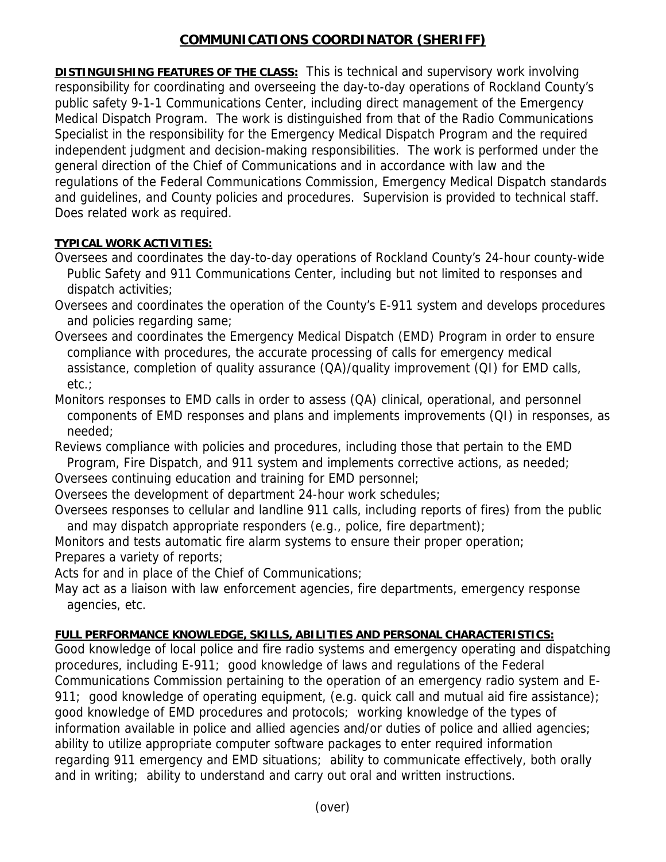## **COMMUNICATIONS COORDINATOR (SHERIFF)**

**DISTINGUISHING FEATURES OF THE CLASS:** This is technical and supervisory work involving responsibility for coordinating and overseeing the day-to-day operations of Rockland County's public safety 9-1-1 Communications Center, including direct management of the Emergency Medical Dispatch Program. The work is distinguished from that of the Radio Communications Specialist in the responsibility for the Emergency Medical Dispatch Program and the required independent judgment and decision-making responsibilities. The work is performed under the general direction of the Chief of Communications and in accordance with law and the regulations of the Federal Communications Commission, Emergency Medical Dispatch standards and guidelines, and County policies and procedures. Supervision is provided to technical staff. Does related work as required.

## **TYPICAL WORK ACTIVITIES:**

- Oversees and coordinates the day-to-day operations of Rockland County's 24-hour county-wide Public Safety and 911 Communications Center, including but not limited to responses and dispatch activities;
- Oversees and coordinates the operation of the County's E-911 system and develops procedures and policies regarding same;
- Oversees and coordinates the Emergency Medical Dispatch (EMD) Program in order to ensure compliance with procedures, the accurate processing of calls for emergency medical assistance, completion of quality assurance (QA)/quality improvement (QI) for EMD calls, etc.;

Monitors responses to EMD calls in order to assess (QA) clinical, operational, and personnel components of EMD responses and plans and implements improvements (QI) in responses, as needed;

Reviews compliance with policies and procedures, including those that pertain to the EMD Program, Fire Dispatch, and 911 system and implements corrective actions, as needed;

Oversees continuing education and training for EMD personnel;

Oversees the development of department 24-hour work schedules;

Oversees responses to cellular and landline 911 calls, including reports of fires) from the public and may dispatch appropriate responders (e.g., police, fire department);

Monitors and tests automatic fire alarm systems to ensure their proper operation; Prepares a variety of reports;

Acts for and in place of the Chief of Communications;

May act as a liaison with law enforcement agencies, fire departments, emergency response agencies, etc.

## **FULL PERFORMANCE KNOWLEDGE, SKILLS, ABILITIES AND PERSONAL CHARACTERISTICS:**

Good knowledge of local police and fire radio systems and emergency operating and dispatching procedures, including E-911; good knowledge of laws and regulations of the Federal Communications Commission pertaining to the operation of an emergency radio system and E-911; good knowledge of operating equipment, (e.g. quick call and mutual aid fire assistance); good knowledge of EMD procedures and protocols; working knowledge of the types of information available in police and allied agencies and/or duties of police and allied agencies; ability to utilize appropriate computer software packages to enter required information regarding 911 emergency and EMD situations; ability to communicate effectively, both orally and in writing; ability to understand and carry out oral and written instructions.